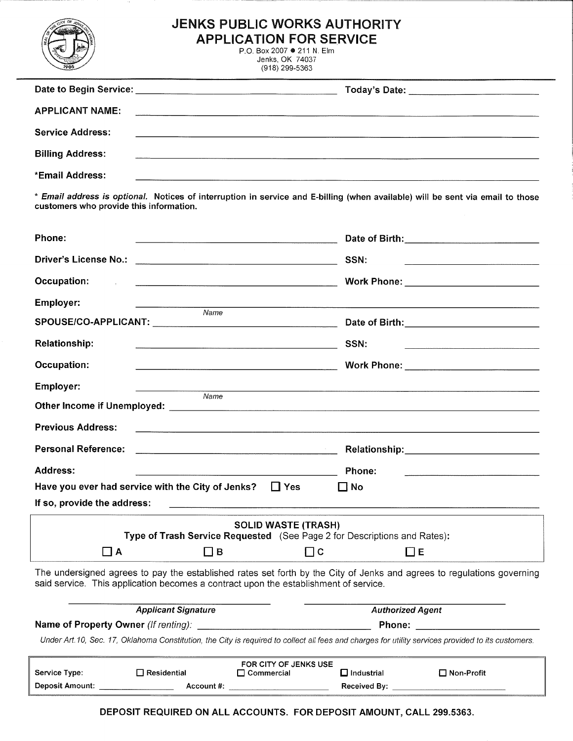|                                                                                                                                                    | <b>JENKS PUBLIC WORKS AUTHORITY</b><br><b>APPLICATION FOR SERVICE</b><br>P.O. Box 2007 ● 211 N. Elm<br>Jenks, OK 74037<br>(918) 299-5363                |  |  |
|----------------------------------------------------------------------------------------------------------------------------------------------------|---------------------------------------------------------------------------------------------------------------------------------------------------------|--|--|
|                                                                                                                                                    |                                                                                                                                                         |  |  |
| <b>APPLICANT NAME:</b>                                                                                                                             |                                                                                                                                                         |  |  |
| <b>Service Address:</b>                                                                                                                            |                                                                                                                                                         |  |  |
| <b>Billing Address:</b>                                                                                                                            | the contract of the community of the contract of the contract of the contract of the contract of the contract of the                                    |  |  |
| *Email Address:                                                                                                                                    |                                                                                                                                                         |  |  |
| customers who provide this information.                                                                                                            | * Email address is optional. Notices of interruption in service and E-billing (when available) will be sent via email to those                          |  |  |
| Phone:                                                                                                                                             | <u> 1989 - Jan Samuel Barbara, margaret e control de la control de la control de la control de la control de la c</u>                                   |  |  |
|                                                                                                                                                    | SSN:<br><u> 2000 - 2000 - 2000 - 2000 - 2000 - 2000 - 2000 - 2000 - 2000 - 2000 - 2000 - 2000 - 2000 - 2000 - 2000 - 200</u>                            |  |  |
| Occupation:<br>and the state of                                                                                                                    | Work Phone: ____________________________                                                                                                                |  |  |
| <b>Employer:</b>                                                                                                                                   |                                                                                                                                                         |  |  |
| Name                                                                                                                                               |                                                                                                                                                         |  |  |
| <b>Relationship:</b>                                                                                                                               | SSN:                                                                                                                                                    |  |  |
| Occupation:                                                                                                                                        | Work Phone: ______________________________                                                                                                              |  |  |
| <b>Employer:</b>                                                                                                                                   |                                                                                                                                                         |  |  |
| Name                                                                                                                                               |                                                                                                                                                         |  |  |
| <b>Previous Address:</b>                                                                                                                           |                                                                                                                                                         |  |  |
| <b>Personal Reference:</b>                                                                                                                         | Relationship: Management of the state of the state of the state of the state of the state of the state of the<br>$\mathcal{O}(\mathcal{O}_\mathcal{O})$ |  |  |
| Address:                                                                                                                                           | Phone:                                                                                                                                                  |  |  |
| Have you ever had service with the City of Jenks?                                                                                                  | $\Box$ Yes<br>$\Box$ No                                                                                                                                 |  |  |
| If so, provide the address:                                                                                                                        | <u> Alexandro Alexandro Alexandro Alexandro Alexandro Alexandro Alexandro Alexandro Alexandro Alexandro Alexandro </u>                                  |  |  |
|                                                                                                                                                    | <b>SOLID WASTE (TRASH)</b><br>Type of Trash Service Requested (See Page 2 for Descriptions and Rates):                                                  |  |  |
| $\Box$ A<br>$\Box$ B                                                                                                                               | $\Box$ C<br>$\Box$ E                                                                                                                                    |  |  |
| said service. This application becomes a contract upon the establishment of service.                                                               | The undersigned agrees to pay the established rates set forth by the City of Jenks and agrees to regulations governing                                  |  |  |
| <b>Applicant Signature</b>                                                                                                                         | <b>Authorized Agent</b>                                                                                                                                 |  |  |
| Under Art.10, Sec. 17, Oklahoma Constitution, the City is required to collect all fees and charges for utility services provided to its customers. |                                                                                                                                                         |  |  |
|                                                                                                                                                    | FOR CITY OF JENKS USE                                                                                                                                   |  |  |

| FOR CITY OF JENKS USE  |               |              |                     |              |
|------------------------|---------------|--------------|---------------------|--------------|
| Service Type:          | l Residential | l Commercial | $\sqcup$ Industrial | □ Non-Profit |
| <b>Deposit Amount:</b> | Account #:    |              | Received By:        |              |

DEPOSIT REQUIRED ON ALL ACCOUNTS. FOR DEPOSIT AMOUNT, CALL 299.5363.